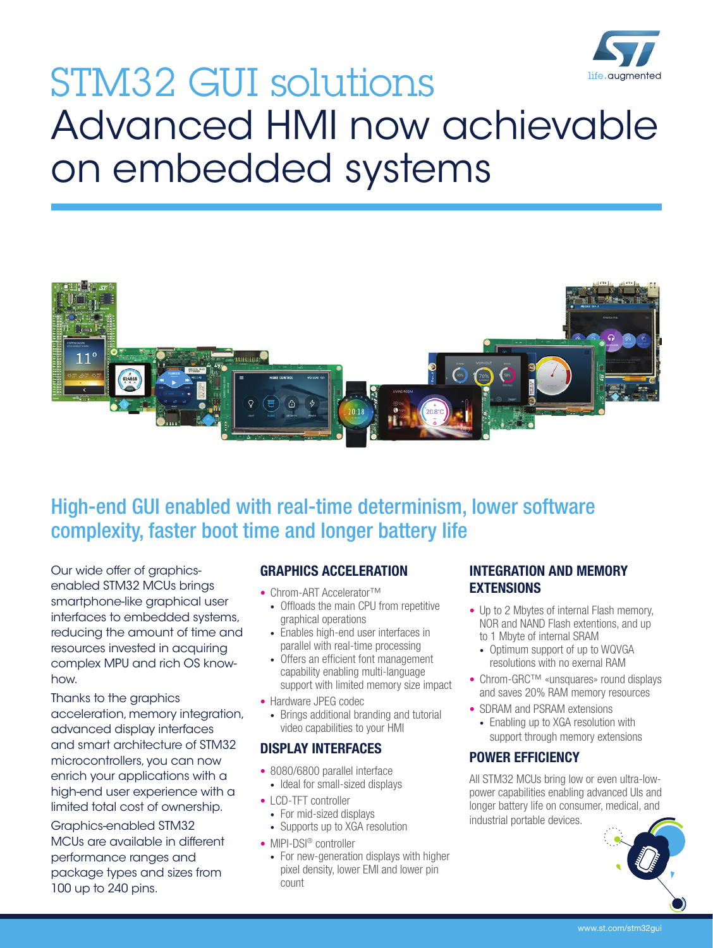

# STM32 GUI solutions Advanced HMI now achievable on embedded systems



# High-end GUI enabled with real-time determinism, lower software complexity, faster boot time and longer battery life

Our wide offer of graphicsenabled STM32 MCUs brings smartphone-like graphical user interfaces to embedded systems, reducing the amount of time and resources invested in acquiring complex MPU and rich OS knowhow.

Thanks to the graphics acceleration, memory integration, advanced display interfaces and smart architecture of STM32 microcontrollers, you can now enrich your applications with a high-end user experience with a limited total cost of ownership.

Graphics-enabled STM32 MCUs are available in different performance ranges and package types and sizes from 100 up to 240 pins.

### GRAPHICS ACCELERATION

- Chrom-ART Accelerator™
- Offloads the main CPU from repetitive graphical operations
- Enables high-end user interfaces in parallel with real-time processing
- Offers an efficient font management capability enabling multi-language support with limited memory size impact
- Hardware JPEG codec
	- Brings additional branding and tutorial video capabilities to your HMI

### DISPLAY INTERFACES

- 8080/6800 parallel interface
- Ideal for small-sized displays
- LCD-TFT controller
	- For mid-sized displays • Supports up to XGA resolution
- MIPI-DSI<sup>®</sup> controller
- For new-generation displays with higher pixel density, lower EMI and lower pin count

### INTEGRATION AND MEMORY **EXTENSIONS**

- Up to 2 Mbytes of internal Flash memory. NOR and NAND Flash extentions, and up to 1 Mbyte of internal SRAM
	- Optimum support of up to WQVGA resolutions with no exernal RAM
- Chrom-GRC™ «unsquares» round displays and saves 20% RAM memory resources
- SDRAM and PSRAM extensions
- Enabling up to XGA resolution with support through memory extensions

### POWER EFFICIENCY

All STM32 MCUs bring low or even ultra-lowpower capabilities enabling advanced UIs and longer battery life on consumer, medical, and industrial portable devices.